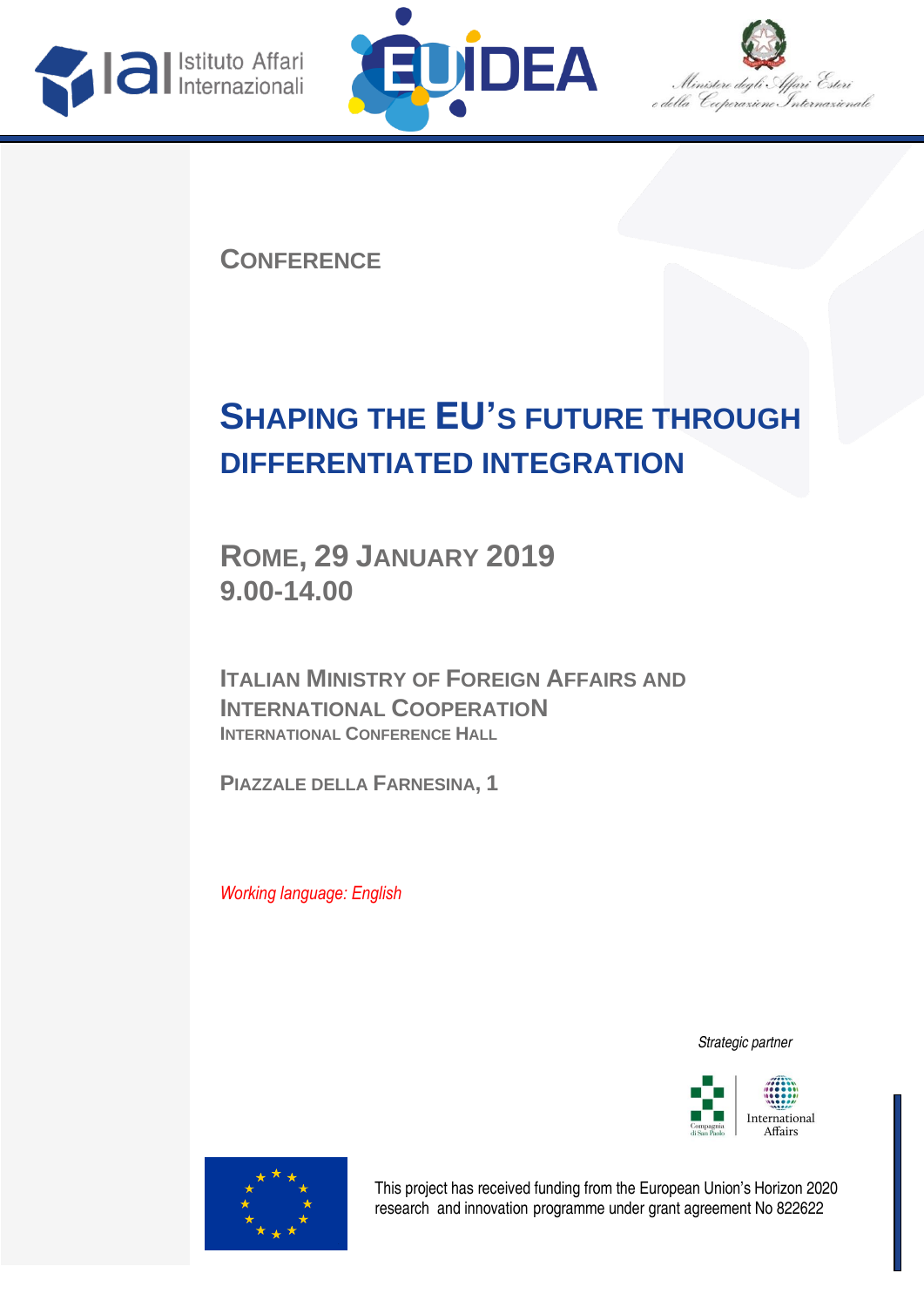





**CONFERENCE**

## **SHAPING THE EU'S FUTURE THROUGH DIFFERENTIATED INTEGRATION**

**ROME, 29 JANUARY 2019 9.00-14.00**

**ITALIAN MINISTRY OF FOREIGN AFFAIRS AND INTERNATIONAL COOPERATION INTERNATIONAL CONFERENCE HALL**

**PIAZZALE DELLA FARNESINA, 1**

*Working language: English*

 *Strategic partner*





This project has received funding from the European Union's Horizon 2020 research and innovation programme under grant agreement No 822622